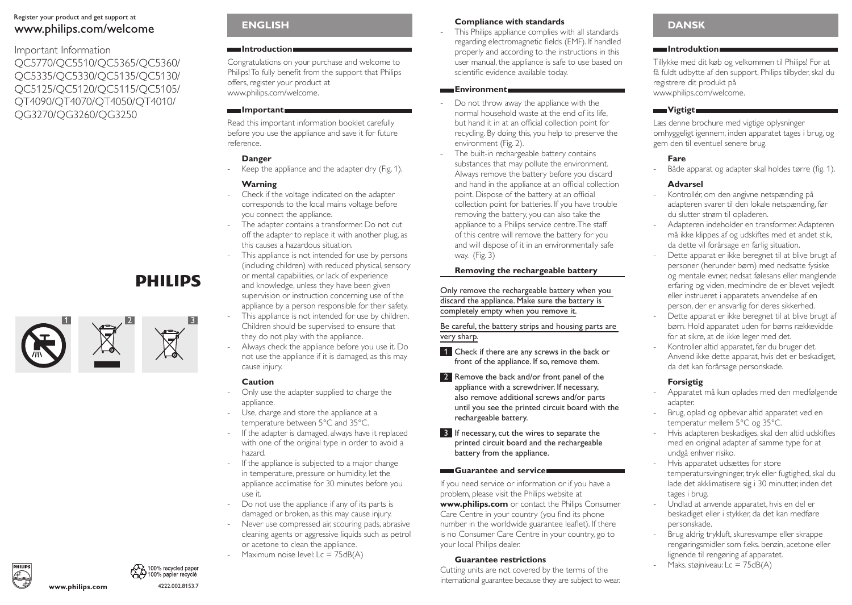## Register your product and get support at www.philips.com/welcome

# Important Information QC5770/QC5510/QC5365/QC5360/ QC5335/QC5330/QC5135/QC5130/ QC5125/QC5120/QC5115/QC5105/ QT4090/QT4070/QT4050/QT4010/ QG3270/QG3260/QG3250

1  $\sim$  2 3

**PHILIPS** 

# **EnglIsh**

### **Introduction**

Congratulations on your purchase and welcome to Philips! To fully benefit from the support that Philips offers, register your product at www.philips.com/welcome.

## **Important**

Read this important information booklet carefully before you use the appliance and save it for future reference.

## **Danger**

Keep the appliance and the adapter dry (Fig. 1).

## **Warning**

- Check if the voltage indicated on the adapter corresponds to the local mains voltage before you connect the appliance.
- The adapter contains a transformer. Do not cut off the adapter to replace it with another plug, as this causes a hazardous situation.
- This appliance is not intended for use by persons (including children) with reduced physical, sensory or mental capabilities, or lack of experience and knowledge, unless they have been given supervision or instruction concerning use of the appliance by a person responsible for their safety. This appliance is not intended for use by children.
- Children should be supervised to ensure that they do not play with the appliance.
- Always check the appliance before you use it. Do not use the appliance if it is damaged, as this may cause injury.

# **Caution**

- Only use the adapter supplied to charge the appliance.
- Use, charge and store the appliance at a temperature between 5°C and 35°C.
- If the adapter is damaged, always have it replaced with one of the original type in order to avoid a hazard.
- If the appliance is subjected to a major change in temperature, pressure or humidity, let the appliance acclimatise for 30 minutes before you use it.
- Do not use the appliance if any of its parts is damaged or broken, as this may cause injury.
- Never use compressed air, scouring pads, abrasive cleaning agents or aggressive liquids such as petrol or acetone to clean the appliance.
- Maximum noise level:  $Lc = 75dB(A)$

## **Compliance with standards**

This Philips appliance complies with all standards regarding electromagnetic fields (EMF). If handled properly and according to the instructions in this user manual, the appliance is safe to use based on scientific evidence available today.

#### **Environment**

- Do not throw away the appliance with the normal household waste at the end of its life, but hand it in at an official collection point for recycling. By doing this, you help to preserve the environment (Fig. 2).
- The built-in rechargeable battery contains substances that may pollute the environment. Always remove the battery before you discard and hand in the appliance at an official collection point. Dispose of the battery at an official collection point for batteries. If you have trouble removing the battery, you can also take the appliance to a Philips service centre. The staff of this centre will remove the battery for you and will dispose of it in an environmentally safe way. (Fig. 3)

## **Removing the rechargeable battery**

Only remove the rechargeable battery when you discard the appliance. Make sure the battery is completely empty when you remove it.

Be careful, the battery strips and housing parts are very sharp.

- 1 Check if there are any screws in the back or front of the appliance. If so, remove them.
- 2 Remove the back and/or front panel of the appliance with a screwdriver. If necessary, also remove additional screws and/or parts until you see the printed circuit board with the rechargeable battery.
- **3** If necessary, cut the wires to separate the printed circuit board and the rechargeable battery from the appliance.

## **Guarantee and service**

If you need service or information or if you have a problem, please visit the Philips website at **www.philips.com** or contact the Philips Consumer Care Centre in your country (you find its phone number in the worldwide guarantee leaflet). If there is no Consumer Care Centre in your country, go to your local Philips dealer.

### **Guarantee restrictions**

Cutting units are not covered by the terms of the international guarantee because they are subject to wear.

# **Dansk**

### **Introduktion**

Tillykke med dit køb og velkommen til Philips! For at få fuldt udbytte af den support, Philips tilbyder, skal du registrere dit produkt på www.philips.com/welcome.

## **Vigtigt**

Læs denne brochure med vigtige oplysninger omhyggeligt igennem, inden apparatet tages i brug, og gem den til eventuel senere brug.

## **Fare**

Både apparat og adapter skal holdes tørre (fig. 1).

### **Advarsel**

- Kontrollér, om den angivne netspænding på adapteren svarer til den lokale netspænding, før du slutter strøm til opladeren.
- Adapteren indeholder en transformer. Adapteren må ikke klippes af og udskiftes med et andet stik, da dette vil forårsage en farlig situation.
- Dette apparat er ikke beregnet til at blive brugt af personer (herunder børn) med nedsatte fysiske og mentale evner, nedsat følesans eller manglende erfaring og viden, medmindre de er blevet vejledt eller instrueret i apparatets anvendelse af en person, der er ansvarlig for deres sikkerhed.
- Dette apparat er ikke beregnet til at blive brugt af børn. Hold apparatet uden for børns rækkevidde for at sikre, at de ikke leger med det.
- Kontroller altid apparatet, før du bruger det. Anvend ikke dette apparat, hvis det er beskadiget, da det kan forårsage personskade.

# **Forsigtig**

- Apparatet må kun oplades med den medfølgende adapter.
- Brug, oplad og opbevar altid apparatet ved en temperatur mellem 5°C og 35°C.
- Hvis adapteren beskadiges, skal den altid udskiftes med en original adapter af samme type for at undgå enhver risiko.
- Hvis apparatet udsættes for store temperatursvingninger, tryk eller fugtighed, skal du lade det akklimatisere sig i 30 minutter, inden det tages i brug.
- Undlad at anvende apparatet, hvis en del er beskadiget eller i stykker, da det kan medføre personskade.
- Brug aldrig trykluft, skuresvampe eller skrappe rengøringsmidler som f.eks. benzin, acetone eller lignende til rengøring af apparatet.
- Maks. støjniveau:  $Lc = 75dB(A)$

www.philips.com



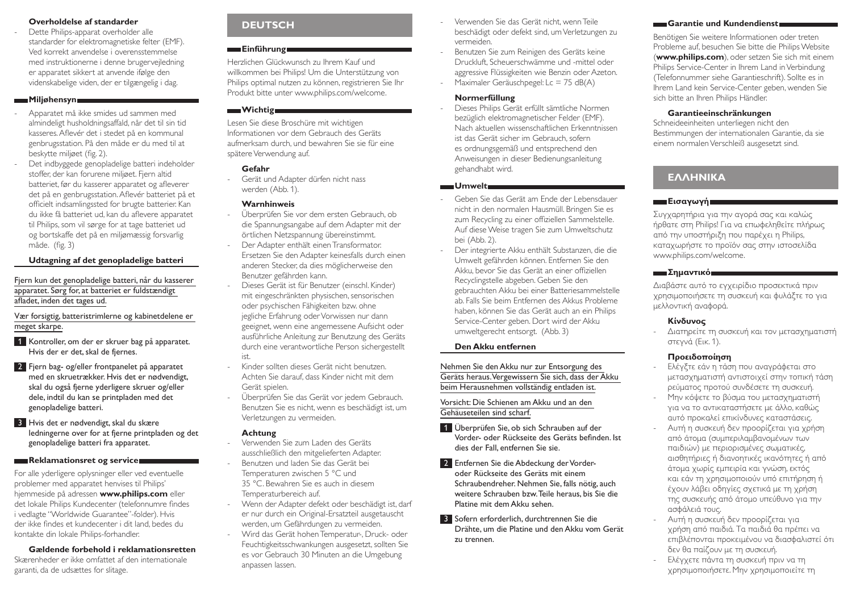#### **Overholdelse af standarder**

Dette Philips-apparat overholder alle standarder for elektromagnetiske felter (EMF). Ved korrekt anvendelse i overensstemmelse med instruktionerne i denne brugervejledning er apparatet sikkert at anvende ifølge den videnskabelige viden, der er tilgængelig i dag.

#### **Miljøhensyn**

- Apparatet må ikke smides ud sammen med almindeligt husholdningsaffald, når det til sin tid kasseres. Aflevér det i stedet på en kommunal genbrugsstation. På den måde er du med til at beskytte miljøet (fig. 2).
- Det indbyggede genopladelige batteri indeholder stoffer, der kan forurene miljøet. Fjern altid batteriet, før du kasserer apparatet og afleverer det på en genbrugsstation. Aflevér batteriet på et officielt indsamlingssted for brugte batterier. Kan du ikke få batteriet ud, kan du aflevere apparatet til Philips, som vil sørge for at tage batteriet ud og bortskaffe det på en miljømæssig forsvarlig måde. (fig. 3)

### **Udtagning af det genopladelige batteri**

Fjern kun det genopladelige batteri, når du kasserer apparatet. Sørg for, at batteriet er fuldstændigt afladet, inden det tages ud.

Vær forsigtig, batteristrimlerne og kabinetdelene er meget skarpe.

- 1 Kontroller, om der er skruer bag på apparatet. Hvis der er det, skal de fjernes.
- 2 Fjern bag- og/eller frontpanelet på apparatet med en skruetrækker. Hvis det er nødvendigt, skal du også fjerne yderligere skruer og/eller dele, indtil du kan se printpladen med det genopladelige batteri.
- 3 Hvis det er nødvendigt, skal du skære ledningerne over for at fjerne printpladen og det genopladelige batteri fra apparatet.

#### **Reklamationsret og service**

For alle yderligere oplysninger eller ved eventuelle problemer med apparatet henvises til Philips' hjemmeside på adressen **www.philips.com** eller det lokale Philips Kundecenter (telefonnumre findes i vedlagte "Worldwide Guarantee"-folder). Hvis der ikke findes et kundecenter i dit land, bedes du kontakte din lokale Philips-forhandler.

**Gældende forbehold i reklamationsretten** Skærenheder er ikke omfattet af den internationale garanti, da de udsættes for slitage.

# **Deutsch**

## **Einführung**

Herzlichen Glückwunsch zu Ihrem Kauf und willkommen bei Philips! Um die Unterstützung von Philips optimal nutzen zu können, registrieren Sie Ihr Produkt bitte unter www.philips.com/welcome.

#### **Wichtig**

Lesen Sie diese Broschüre mit wichtigen Informationen vor dem Gebrauch des Geräts aufmerksam durch, und bewahren Sie sie für eine spätere Verwendung auf.

#### **Gefahr**

- Gerät und Adapter dürfen nicht nass werden (Abb. 1).

#### **Warnhinweis**

- Überprüfen Sie vor dem ersten Gebrauch, ob die Spannungsangabe auf dem Adapter mit der örtlichen Netzspannung übereinstimmt.
- Der Adapter enthält einen Transformator. Ersetzen Sie den Adapter keinesfalls durch einen anderen Stecker, da dies möglicherweise den Benutzer gefährden kann.
- Dieses Gerät ist für Benutzer (einschl. Kinder) mit eingeschränkten physischen, sensorischen oder psychischen Fähigkeiten bzw. ohne jegliche Erfahrung oder Vorwissen nur dann geeignet, wenn eine angemessene Aufsicht oder ausführliche Anleitung zur Benutzung des Geräts durch eine verantwortliche Person sichergestellt ist.
- Kinder sollten dieses Gerät nicht benutzen. Achten Sie darauf, dass Kinder nicht mit dem Gerät spielen.
- Überprüfen Sie das Gerät vor jedem Gebrauch. Benutzen Sie es nicht, wenn es beschädigt ist, um Verletzungen zu vermeiden.

#### **Achtung**

- Verwenden Sie zum Laden des Geräts ausschließlich den mitgelieferten Adapter. - Benutzen und laden Sie das Gerät bei
- Temperaturen zwischen 5 °C und 35 °C. Bewahren Sie es auch in diesem Temperaturbereich auf.
- Wenn der Adapter defekt oder beschädigt ist, darf er nur durch ein Original-Ersatzteil ausgetauscht werden, um Gefährdungen zu vermeiden.
- Wird das Gerät hohen Temperatur-, Druck- oder Feuchtigkeitsschwankungen ausgesetzt, sollten Sie es vor Gebrauch 30 Minuten an die Umgebung anpassen lassen.
- Verwenden Sie das Gerät nicht, wenn Teile beschädigt oder defekt sind, um Verletzungen zu vermeiden.
- Benutzen Sie zum Reinigen des Geräts keine Druckluft, Scheuerschwämme und -mittel oder aggressive Flüssigkeiten wie Benzin oder Azeton.
- Maximaler Geräuschpegel:  $Lc = 75$  dB(A)

## **Normerfüllung**

- Dieses Philips Gerät erfüllt sämtliche Normen bezüglich elektromagnetischer Felder (EMF). Nach aktuellen wissenschaftlichen Erkenntnissen ist das Gerät sicher im Gebrauch, sofern es ordnungsgemäß und entsprechend den Anweisungen in dieser Bedienungsanleitung gehandhabt wird.

#### **Umwelt**

- Geben Sie das Gerät am Ende der Lebensdauer nicht in den normalen Hausmüll. Bringen Sie es zum Recycling zu einer offiziellen Sammelstelle. Auf diese Weise tragen Sie zum Umweltschutz bei (Abb. 2).
- Der integrierte Akku enthält Substanzen, die die Umwelt gefährden können. Entfernen Sie den Akku, bevor Sie das Gerät an einer offiziellen Recyclingstelle abgeben. Geben Sie den gebrauchten Akku bei einer Batteriesammelstelle ab. Falls Sie beim Entfernen des Akkus Probleme haben, können Sie das Gerät auch an ein Philips Service-Center geben. Dort wird der Akku umweltgerecht entsorgt. (Abb. 3)

#### **Den Akku entfernen**

Nehmen Sie den Akku nur zur Entsorgung des Geräts heraus. Vergewissern Sie sich, dass der Akku beim Herausnehmen vollständig entladen ist.

#### Vorsicht: Die Schienen am Akku und an den Gehäuseteilen sind scharf.

- 1 Überprüfen Sie, ob sich Schrauben auf der Vorder- oder Rückseite des Geräts befinden. Ist dies der Fall, entfernen Sie sie.
- 2 Entfernen Sie die Abdeckung der Vorderoder Rückseite des Geräts mit einem Schraubendreher. Nehmen Sie, falls nötig, auch weitere Schrauben bzw. Teile heraus, bis Sie die Platine mit dem Akku sehen.
- 3 Sofern erforderlich, durchtrennen Sie die Drähte, um die Platine und den Akku vom Gerät zu trennen.

#### **Garantie und Kundendienst**

Benötigen Sie weitere Informationen oder treten Probleme auf, besuchen Sie bitte die Philips Website (**www.philips.com**), oder setzen Sie sich mit einem Philips Service-Center in Ihrem Land in Verbindung (Telefonnummer siehe Garantieschrift). Sollte es in Ihrem Land kein Service-Center geben, wenden Sie sich bitte an Ihren Philips Händler.

#### **Garantieeinschränkungen**

Schneideeinheiten unterliegen nicht den Bestimmungen der internationalen Garantie, da sie einem normalen Verschleiß ausgesetzt sind.

# **ΕΛΛΗΝΙΚΑ**

### **Εισαγωγή**

Συγχαρητήρια για την αγορά σας και καλώς ήρθατε στη Philips! Για να επωφεληθείτε πλήρως από την υποστήριξη που παρέχει η Philips, καταχωρήστε το προϊόν σας στην ιστοσελίδα www.philips.com/welcome.

#### **Σημαντικό**

Διαβάστε αυτό το εγχειρίδιο προσεκτικά πριν χρησιμοποιήσετε τη συσκευή και φυλάξτε το για μελλοντική αναφορά.

#### **Κίνδυνος**

- Διατηρείτε τη συσκευή και τον μετασχηματιστή στεγνά (Εικ. 1).

### **Προειδοποίηση**

- Ελέγξτε εάν η τάση που αναγράφεται στο μετασχηματιστή αντιστοιχεί στην τοπική τάση ρεύματος προτού συνδέσετε τη συσκευή.
- Μην κόψετε το βύσμα του μετασχηματιστή για να το αντικαταστήσετε με άλλο, καθώς αυτό προκαλεί επικίνδυνες καταστάσεις.
- Αυτή η συσκευή δεν προορίζεται για χρήση από άτομα (συμπεριλαμβανομένων των παιδιών) με περιορισμένες σωματικές, αισθητήριες ή διανοητικές ικανότητες ή από άτομα χωρίς εμπειρία και γνώση, εκτός και εάν τη χρησιμοποιούν υπό επιτήρηση ή έχουν λάβει οδηγίες σχετικά με τη χρήση της συσκευής από άτομο υπεύθυνο για την ασφάλειά τους.
- Αυτή η συσκευή δεν προορίζεται για χρήση από παιδιά. Τα παιδιά θα πρέπει να επιβλέπονται προκειμένου να διασφαλιστεί ότι δεν θα παίζουν με τη συσκευή.
- Ελέγχετε πάντα τη συσκευή πριν να τη χρησιμοποιήσετε. Μην χρησιμοποιείτε τη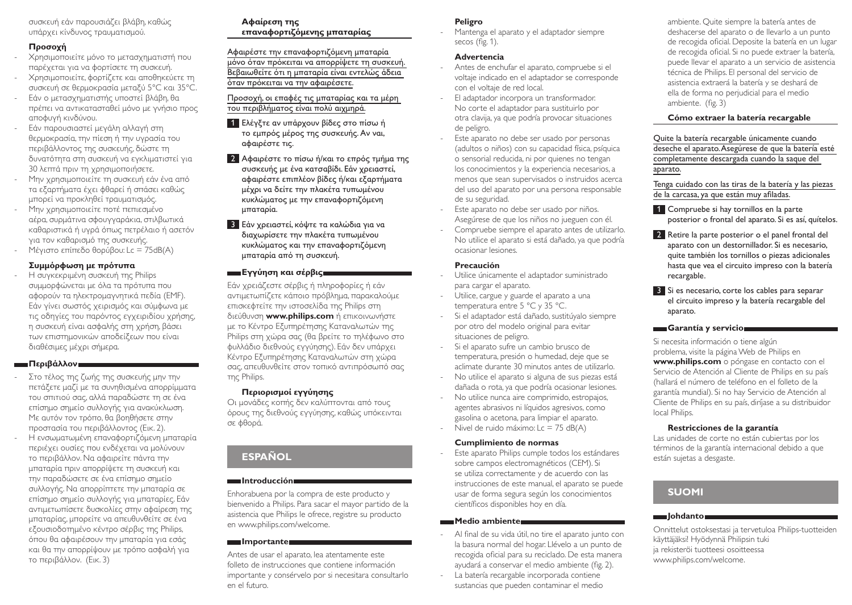συσκευή εάν παρουσιάζει βλάβη, καθώς υπάρχει κίνδυνος τραυματισμού.

## **Προσοχή**

- Χρησιμοποιείτε μόνο το μετασχηματιστή που παρέχεται για να φορτίσετε τη συσκευή.
- Χρησιμοποιείτε, φορτίζετε και αποθηκεύετε τη συσκευή σε θερμοκρασία μεταξύ 5°C και 35°C.
- Εάν ο μετασχηματιστής υποστεί βλάβη, θα πρέπει να αντικατασταθεί μόνο με γνήσιο προς αποφυγή κινδύνου.
- Εάν παρουσιαστεί μεγάλη αλλαγή στη θερμοκρασία, την πίεση ή την υγρασία του περιβάλλοντος της συσκευής, δώστε τη δυνατότητα στη συσκευή να εγκλιματιστεί για 30 λεπτά πριν τη χρησιμοποιήσετε.
- Μην χρησιμοποιείτε τη συσκευή εάν ένα από τα εξαρτήματα έχει φθαρεί ή σπάσει καθώς μπορεί να προκληθεί τραυματισμός.
- Μην χρησιμοποιείτε ποτέ πεπιεσμένο αέρα, συρμάτινα σφουγγαράκια, στιλβωτικά καθαριστικά ή υγρά όπως πετρέλαιο ή ασετόν για τον καθαρισμό της συσκευής.
- Μέγιστο επίπεδο θορύβου: Lc = 75dB(A)

### **Συμμόρφωση με πρότυπα**

- Η συγκεκριμένη συσκευή της Philips συμμορφώνεται με όλα τα πρότυπα που αφορούν τα ηλεκτρομαγνητικά πεδία (EMF). Εάν γίνει σωστός χειρισμός και σύμφωνα με τις οδηγίες του παρόντος εγχειριδίου χρήσης, η συσκευή είναι ασφαλής στη χρήση, βάσει των επιστημονικών αποδείξεων που είναι διαθέσιμες μέχρι σήμερα.

## **Περιβάλλον**

- Στο τέλος της ζωής της συσκευής μην την πετάξετε μαζί με τα συνηθισμένα απορρίμματα του σπιτιού σας, αλλά παραδώστε τη σε ένα επίσημο σημείο συλλογής για ανακύκλωση. Με αυτόν τον τρόπο, θα βοηθήσετε στην προστασία του περιβάλλοντος (Εικ. 2). - Η ενσωματωμένη επαναφορτιζόμενη μπαταρία περιέχει ουσίες που ενδέχεται να μολύνουν το περιβάλλον. Να αφαιρείτε πάντα την μπαταρία πριν απορρίψετε τη συσκευή και την παραδώσετε σε ένα επίσημο σημείο συλλογής. Να απορρίπτετε την μπαταρία σε επίσημο σημείο συλλογής για μπαταρίες. Εάν αντιμετωπίσετε δυσκολίες στην αφαίρεση της μπαταρίας, μπορείτε να απευθυνθείτε σε ένα εξουσιοδοτημένο κέντρο σέρβις της Philips,

## όπου θα αφαιρέσουν την μπαταρία για εσάς και θα την απορρίψουν με τρόπο ασφαλή για το περιβάλλον. (Εικ. 3)

## **Αφαίρεση της**

**επαναφορτιζόμενης μπαταρίας**

Αφαιρέστε την επαναφορτιζόμενη μπαταρία μόνο όταν πρόκειται να απορρίψετε τη συσκευή. Βεβαιωθείτε ότι η μπαταρία είναι εντελώς άδεια όταν πρόκειται να την αφαιρέσετε.

Προσοχή, οι επαφές τις μπαταρίας και τα μέρη του περιβλήματος είναι πολύ αιχμηρά.

- 1 Ελέγξτε αν υπάρχουν βίδες στο πίσω ή το εμπρός μέρος της συσκευής. Αν ναι, αφαιρέστε τις.
- 2 Αφαιρέστε το πίσω ή/και το επρός τμήμα της συσκευής με ένα κατσαβίδι. Εάν χρειαστεί, αφαιρέστε επιπλέον βίδες ή/και εξαρτήματα μέχρι να δείτε την πλακέτα τυπωμένου κυκλώματος με την επαναφορτιζόμενη μπαταρία.
- 3 Εάν χρειαστεί, κόψτε τα καλώδια για να διαχωρίσετε την πλακέτα τυπωμένου κυκλώματος και την επαναφορτιζόμενη μπαταρία από τη συσκευή.

## **Εγγύηση και σέρβις**

Εάν χρειάζεστε σέρβις ή πληροφορίες ή εάν αντιμετωπίζετε κάποιο πρόβλημα, παρακαλούμε επισκεφτείτε την ιστοσελίδα της Philips στη διεύθυνση **www.philips.com** ή επικοινωνήστε με το Κέντρο Εξυπηρέτησης Καταναλωτών της Philips στη χώρα σας (θα βρείτε το τηλέφωνο στο φυλλάδιο διεθνούς εγγύησης). Εάν δεν υπάρχει Κέντρο Εξυπηρέτησης Καταναλωτών στη χώρα σας, απευθυνθείτε στον τοπικό αντιπρόσωπό σας της Philips.

## **Περιορισμοί εγγύησης**

Οι μονάδες κοπής δεν καλύπτονται από τους όρους της διεθνούς εγγύησης, καθώς υπόκεινται σε φθορά.

# **Español**

### **Introducción**

Enhorabuena por la compra de este producto y bienvenido a Philips. Para sacar el mayor partido de la asistencia que Philips le ofrece, registre su producto en www.philips.com/welcome.

## **Importante**

Antes de usar el aparato, lea atentamente este folleto de instrucciones que contiene información importante y consérvelo por si necesitara consultarlo en el futuro.

### **Peligro**

Mantenga el aparato y el adaptador siempre secos (fig. 1).

### **Advertencia**

- Antes de enchufar el aparato, compruebe si el voltaje indicado en el adaptador se corresponde con el voltaje de red local.
- El adaptador incorpora un transformador. No corte el adaptador para sustituirlo por otra clavija, ya que podría provocar situaciones de peligro.
- Este aparato no debe ser usado por personas (adultos o niños) con su capacidad física, psíquica o sensorial reducida, ni por quienes no tengan los conocimientos y la experiencia necesarios, a menos que sean supervisados o instruidos acerca del uso del aparato por una persona responsable de su seguridad.
- Este aparato no debe ser usado por niños. Asegúrese de que los niños no jueguen con él.
- Compruebe siempre el aparato antes de utilizarlo. No utilice el aparato si está dañado, ya que podría ocasionar lesiones.

### **Precaución**

- Utilice únicamente el adaptador suministrado para cargar el aparato.
- Utilice, cargue y guarde el aparato a una temperatura entre 5 °C y 35 °C.
- Si el adaptador está dañado, sustitúyalo siempre por otro del modelo original para evitar situaciones de peligro.
- Si el aparato sufre un cambio brusco de temperatura, presión o humedad, deje que se aclimate durante 30 minutos antes de utilizarlo.
- No utilice el aparato si alguna de sus piezas está dañada o rota, ya que podría ocasionar lesiones.
- No utilice nunca aire comprimido, estropajos, agentes abrasivos ni líquidos agresivos, como gasolina o acetona, para limpiar el aparato.
- Nivel de ruido máximo:  $Lc = 75$  dB(A)

### **Cumplimiento de normas**

Este aparato Philips cumple todos los estándares sobre campos electromagnéticos (CEM). Si se utiliza correctamente y de acuerdo con las instrucciones de este manual, el aparato se puede usar de forma segura según los conocimientos científicos disponibles hoy en día.

## **Medio ambiente**

- Al final de su vida útil, no tire el aparato junto con la basura normal del hogar. Llévelo a un punto de recogida oficial para su reciclado. De esta manera ayudará a conservar el medio ambiente (fig. 2).
- La batería recargable incorporada contiene sustancias que pueden contaminar el medio

ambiente. Quite siempre la batería antes de deshacerse del aparato o de llevarlo a un punto de recogida oficial. Deposite la batería en un lugar de recogida oficial. Si no puede extraer la batería, puede llevar el aparato a un servicio de asistencia técnica de Philips. El personal del servicio de asistencia extraerá la batería y se deshará de ella de forma no perjudicial para el medio ambiente. (fig. 3)

## **Cómo extraer la batería recargable**

Quite la batería recargable únicamente cuando deseche el aparato. Asegúrese de que la batería esté completamente descargada cuando la saque del aparato.

Tenga cuidado con las tiras de la batería y las piezas de la carcasa, ya que están muy afiladas.

- 1 Compruebe si hay tornillos en la parte posterior o frontal del aparato. Si es así, quítelos.
- 2 Retire la parte posterior o el panel frontal del aparato con un destornillador. Si es necesario, quite también los tornillos o piezas adicionales hasta que vea el circuito impreso con la batería recargable.
- 3 Si es necesario, corte los cables para separar el circuito impreso y la batería recargable del aparato.

### **Garantía y servicio**

Si necesita información o tiene algún problema, visite la página Web de Philips en **www.philips.com** o póngase en contacto con el Servicio de Atención al Cliente de Philips en su país (hallará el número de teléfono en el folleto de la garantía mundial). Si no hay Servicio de Atención al Cliente de Philips en su país, diríjase a su distribuidor local Philips.

### **Restricciones de la garantía**

Las unidades de corte no están cubiertas por los términos de la garantía internacional debido a que están sujetas a desgaste.

# **Suomi**

## **Johdanto**

Onnittelut ostoksestasi ja tervetuloa Philips-tuotteiden käyttäjäksi! Hyödynnä Philipsin tuki ja rekisteröi tuotteesi osoitteessa www.philips.com/welcome.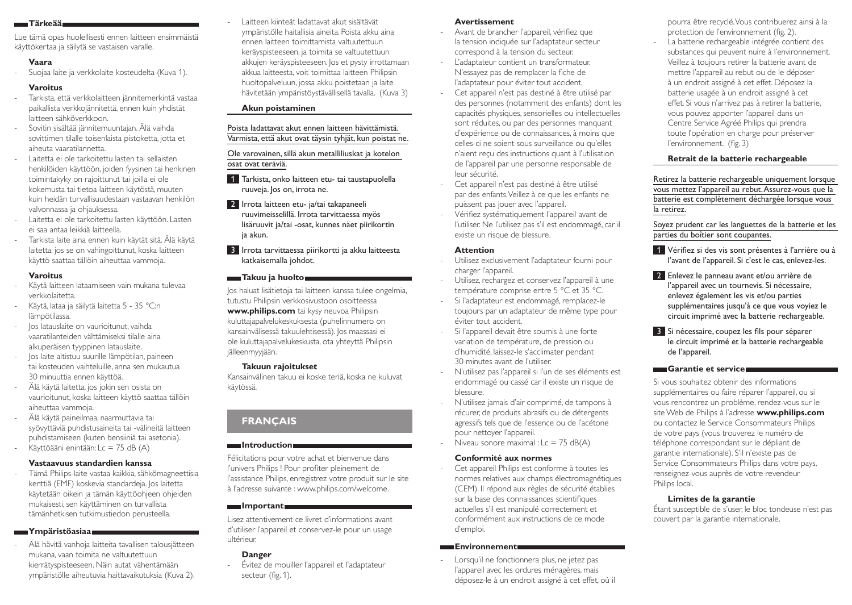#### **Tärkeää**

Lue tämä opas huolellisesti ennen laitteen ensimmäistä käyttökertaa ja säilytä se vastaisen varalle.

### **Vaara**

- Suojaa laite ja verkkolaite kosteudelta (Kuva 1).

## **Varoitus**

- Tarkista, että verkkolaitteen jännitemerkintä vastaa paikallista verkkojännitettä, ennen kuin yhdistät laitteen sähköverkkoon.
- Sovitin sisältää jännitemuuntajan. Älä vaihda sovittimen tilalle toisenlaista pistoketta, jotta et aiheuta vaaratilannetta.
- Laitetta ei ole tarkoitettu lasten tai sellaisten henkilöiden käyttöön, joiden fyysinen tai henkinen toimintakyky on rajoittunut tai joilla ei ole kokemusta tai tietoa laitteen käytöstä, muuten kuin heidän turvallisuudestaan vastaavan henkilön valvonnassa ja ohjauksessa.
- Laitetta ei ole tarkoitettu lasten käyttöön. Lasten ei saa antaa leikkiä laitteella.
- Tarkista laite aina ennen kuin käytät sitä. Älä käytä laitetta, jos se on vahingoittunut, koska laitteen käyttö saattaa tällöin aiheuttaa vammoja.

## **Varoitus**

- Käytä laitteen lataamiseen vain mukana tulevaa verkkolaitetta.
- Käytä, lataa ja säilytä laitetta 5 35 °C:n lämpötilassa.
- Jos latauslaite on vaurioitunut, vaihda vaaratilanteiden välttämiseksi tilalle aina alkuperäisen tyyppinen latauslaite.
- Jos laite altistuu suurille lämpötilan, paineen tai kosteuden vaihteluille, anna sen mukautua 30 minuuttia ennen käyttöä.
- Älä käytä laitetta, jos jokin sen osista on vaurioitunut, koska laitteen käyttö saattaa tällöin aiheuttaa vammoja.
- Älä käytä paineilmaa, naarmuttavia tai syövyttäviä puhdistusaineita tai -välineitä laitteen puhdistamiseen (kuten bensiiniä tai asetonia). Käyttöääni enintään: Lc = 75 dB (A)

### **Vastaavuus standardien kanssa**

- Tämä Philips-laite vastaa kaikkia, sähkömagneettisia kenttiä (EMF) koskevia standardeja. Jos laitetta käytetään oikein ja tämän käyttöohjeen ohjeiden mukaisesti, sen käyttäminen on turvallista tämänhetkisen tutkimustiedon perusteella.

### **Ympäristöasiaa**

- Älä hävitä vanhoja laitteita tavallisen talousjätteen mukana, vaan toimita ne valtuutettuun kierrätyspisteeseen. Näin autat vähentämään ympäristölle aiheutuvia haittavaikutuksia (Kuva 2). - Laitteen kiinteät ladattavat akut sisältävät ympäristölle haitallisia aineita. Poista akku aina ennen laitteen toimittamista valtuutettuun keräyspisteeseen, ja toimita se valtuutettuun akkujen keräyspisteeseen. Jos et pysty irrottamaan akkua laitteesta, voit toimittaa laitteen Philipsin huoltopalveluun, jossa akku poistetaan ja laite hävitetään ympäristöystävällisellä tavalla. (Kuva 3)

## **Akun poistaminen**

Poista ladattavat akut ennen laitteen hävittämistä. Varmista, että akut ovat täysin tyhjät, kun poistat ne.

## Ole varovainen, sillä akun metalliliuskat ja kotelon osat ovat teräviä.

- 1 Tarkista, onko laitteen etu- tai taustapuolella ruuveja. Jos on, irrota ne.
- 2 Irrota laitteen etu- ja/tai takapaneeli ruuvimeisselillä. Irrota tarvittaessa myös lisäruuvit ja/tai -osat, kunnes näet piirikortin ja akun.
- 3 Irrota tarvittaessa piirikortti ja akku laitteesta katkaisemalla johdot.

## **Takuu ja huolto**

Jos haluat lisätietoja tai laitteen kanssa tulee ongelmia, tutustu Philipsin verkkosivustoon osoitteessa **www.philips.com** tai kysy neuvoa Philipsin kuluttajapalvelukeskuksesta (puhelinnumero on kansainvälisessä takuulehtisessä). Jos maassasi ei ole kuluttajapalvelukeskusta, ota yhteyttä Philipsin jälleenmyyjään.

### **Takuun rajoitukset**

Kansainvälinen takuu ei koske teriä, koska ne kuluvat käytössä.

# **Français**

### **Introduction**

Félicitations pour votre achat et bienvenue dans l'univers Philips ! Pour profiter pleinement de l'assistance Philips, enregistrez votre produit sur le site à l'adresse suivante : www.philips.com/welcome.

# **Important**

Lisez attentivement ce livret d'informations avant d'utiliser l'appareil et conservez-le pour un usage ultérieur.

## **Danger**

- Évitez de mouiller l'appareil et l'adaptateur secteur (fig. 1).

## **Avertissement**

- Avant de brancher l'appareil, vérifiez que la tension indiquée sur l'adaptateur secteur correspond à la tension du secteur.
- L'adaptateur contient un transformateur. N'essayez pas de remplacer la fiche de l'adaptateur pour éviter tout accident.
- Cet appareil n'est pas destiné à être utilisé par des personnes (notamment des enfants) dont les capacités physiques, sensorielles ou intellectuelles sont réduites, ou par des personnes manquant d'expérience ou de connaissances, à moins que celles-ci ne soient sous surveillance ou qu'elles n'aient reçu des instructions quant à l'utilisation de l'appareil par une personne responsable de leur sécurité.
- Cet appareil n'est pas destiné à être utilisé par des enfants. Veillez à ce que les enfants ne puissent pas jouer avec l'appareil.
- Vérifiez systématiquement l'appareil avant de l'utiliser. Ne l'utilisez pas s'il est endommagé, car il existe un risque de blessure.

### **Attention**

- Utilisez exclusivement l'adaptateur fourni pour charger l'appareil.
- Utilisez, rechargez et conservez l'appareil à une température comprise entre 5 °C et 35 °C.
- Si l'adaptateur est endommagé, remplacez-le toujours par un adaptateur de même type pour éviter tout accident.
- Si l'appareil devait être soumis à une forte variation de température, de pression ou d'humidité, laissez-le s'acclimater pendant 30 minutes avant de l'utiliser.
- N'utilisez pas l'appareil si l'un de ses éléments est endommagé ou cassé car il existe un risque de blessure.
- N'utilisez jamais d'air comprimé, de tampons à récurer, de produits abrasifs ou de détergents agressifs tels que de l'essence ou de l'acétone pour nettoyer l'appareil.
- Niveau sonore maximal :  $Lc = 75$  dB(A)

## **Conformité aux normes**

Cet appareil Philips est conforme à toutes les normes relatives aux champs électromagnétiques (CEM). Il répond aux règles de sécurité établies sur la base des connaissances scientifiques actuelles s'il est manipulé correctement et conformément aux instructions de ce mode d'emploi.

#### **Environnement**

- Lorsqu'il ne fonctionnera plus, ne jetez pas l'appareil avec les ordures ménagères, mais déposez-le à un endroit assigné à cet effet, où il pourra être recyclé. Vous contribuerez ainsi à la protection de l'environnement (fig. 2).

La batterie rechargeable intégrée contient des substances qui peuvent nuire à l'environnement. Veillez à toujours retirer la batterie avant de mettre l'appareil au rebut ou de le déposer à un endroit assigné à cet effet. Déposez la batterie usagée à un endroit assigné à cet effet. Si vous n'arrivez pas à retirer la batterie, vous pouvez apporter l'appareil dans un Centre Service Agréé Philips qui prendra toute l'opération en charge pour préserver l'environnement. (fig. 3)

## **Retrait de la batterie rechargeable**

Retirez la batterie rechargeable uniquement lorsque vous mettez l'appareil au rebut. Assurez-vous que la batterie est complètement déchargée lorsque vous la retirez.

Soyez prudent car les languettes de la batterie et les parties du boîtier sont coupantes.

- 1 Vérifiez si des vis sont présentes à l'arrière ou à l'avant de l'appareil. Si c'est le cas, enlevez-les.
- 2 Enlevez le panneau avant et/ou arrière de l'appareil avec un tournevis. Si nécessaire, enlevez également les vis et/ou parties supplémentaires jusqu'à ce que vous voyiez le circuit imprimé avec la batterie rechargeable.
- 3 Si nécessaire, coupez les fils pour séparer le circuit imprimé et la batterie rechargeable de l'appareil.

### **Garantie et service**

Si vous souhaitez obtenir des informations supplémentaires ou faire réparer l'appareil, ou si vous rencontrez un problème, rendez-vous sur le site Web de Philips à l'adresse **www.philips.com** ou contactez le Service Consommateurs Philips de votre pays (vous trouverez le numéro de téléphone correspondant sur le dépliant de garantie internationale). S'il n'existe pas de Service Consommateurs Philips dans votre pays, renseignez-vous auprès de votre revendeur Philips local.

### **Limites de la garantie**

Étant susceptible de s'user, le bloc tondeuse n'est pas couvert par la garantie internationale.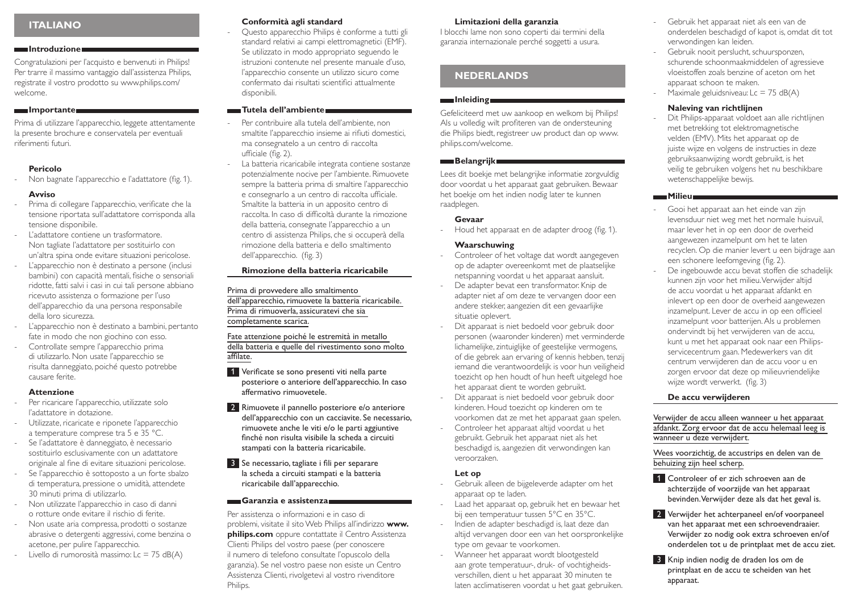## **Italiano**

#### **Introduzione**

Congratulazioni per l'acquisto e benvenuti in Philips! Per trarre il massimo vantaggio dall'assistenza Philips, registrate il vostro prodotto su www.philips.com/ welcome.

#### **Importante**

Prima di utilizzare l'apparecchio, leggete attentamente la presente brochure e conservatela per eventuali riferimenti futuri.

### **Pericolo**

Non bagnate l'apparecchio e l'adattatore (fig. 1).

#### **Avviso**

- Prima di collegare l'apparecchio, verificate che la tensione riportata sull'adattatore corrisponda alla tensione disponibile.
- L'adattatore contiene un trasformatore. Non tagliate l'adattatore per sostituirlo con un'altra spina onde evitare situazioni pericolose.
- L'apparecchio non è destinato a persone (inclusi bambini) con capacità mentali, fisiche o sensoriali ridotte, fatti salvi i casi in cui tali persone abbiano ricevuto assistenza o formazione per l'uso dell'apparecchio da una persona responsabile della loro sicurezza.
- L'apparecchio non è destinato a bambini, pertanto fate in modo che non giochino con esso.
- Controllate sempre l'apparecchio prima di utilizzarlo. Non usate l'apparecchio se risulta danneggiato, poiché questo potrebbe causare ferite.

#### **Attenzione**

- Per ricaricare l'apparecchio, utilizzate solo l'adattatore in dotazione.
- Utilizzate, ricaricate e riponete l'apparecchio a temperature comprese tra 5 e 35 °C.
- Se l'adattatore è danneggiato, è necessario sostituirlo esclusivamente con un adattatore originale al fine di evitare situazioni pericolose.
- Se l'apparecchio è sottoposto a un forte sbalzo di temperatura, pressione o umidità, attendete 30 minuti prima di utilizzarlo.
- Non utilizzate l'apparecchio in caso di danni o rotture onde evitare il rischio di ferite.
- Non usate aria compressa, prodotti o sostanze abrasive o detergenti aggressivi, come benzina o acetone, per pulire l'apparecchio.
- $-$  Livello di rumorosità massimo: Lc = 75 dB(A)

#### **Conformità agli standard**

- Questo apparecchio Philips è conforme a tutti gli standard relativi ai campi elettromagnetici (EMF). Se utilizzato in modo appropriato seguendo le istruzioni contenute nel presente manuale d'uso, l'apparecchio consente un utilizzo sicuro come confermato dai risultati scientifici attualmente disponibili.

#### **Tutela dell'ambiente**

- Per contribuire alla tutela dell'ambiente, non smaltite l'apparecchio insieme ai rifiuti domestici, ma consegnatelo a un centro di raccolta ufficiale (fig. 2).
- La batteria ricaricabile integrata contiene sostanze potenzialmente nocive per l'ambiente. Rimuovete sempre la batteria prima di smaltire l'apparecchio e consegnarlo a un centro di raccolta ufficiale. Smaltite la batteria in un apposito centro di raccolta. In caso di difficoltà durante la rimozione della batteria, consegnate l'apparecchio a un centro di assistenza Philips, che si occuperà della rimozione della batteria e dello smaltimento dell'apparecchio. (fig. 3)

#### **Rimozione della batteria ricaricabile**

#### Prima di provvedere allo smaltimento

dell'apparecchio, rimuovete la batteria ricaricabile. Prima di rimuoverla, assicuratevi che sia completamente scarica.

Fate attenzione poiché le estremità in metallo della batteria e quelle del rivestimento sono molto affilate.

- 1 Verificate se sono presenti viti nella parte posteriore o anteriore dell'apparecchio. In caso affermativo rimuovetele.
- 2 Rimuovete il pannello posteriore e/o anteriore dell'apparecchio con un cacciavite. Se necessario, rimuovete anche le viti e/o le parti aggiuntive finché non risulta visibile la scheda a circuiti stampati con la batteria ricaricabile.
- 3 Se necessario, tagliate i fili per separare la scheda a circuiti stampati e la batteria ricaricabile dall'apparecchio.

### **Garanzia e assistenza**

Per assistenza o informazioni e in caso di problemi, visitate il sito Web Philips all'indirizzo **www. philips.com** oppure contattate il Centro Assistenza Clienti Philips del vostro paese (per conoscere il numero di telefono consultate l'opuscolo della garanzia). Se nel vostro paese non esiste un Centro Assistenza Clienti, rivolgetevi al vostro rivenditore Philips.

#### **Limitazioni della garanzia**

I blocchi lame non sono coperti dai termini della garanzia internazionale perché soggetti a usura.

# **Nederlands**

### **Inleiding**

Gefeliciteerd met uw aankoop en welkom bij Philips! Als u volledig wilt profiteren van de ondersteuning die Philips biedt, registreer uw product dan op www. philips.com/welcome.

#### **Belangrijk**

Lees dit boekje met belangrijke informatie zorgvuldig door voordat u het apparaat gaat gebruiken. Bewaar het boekje om het indien nodig later te kunnen raadplegen.

#### **Gevaar**

Houd het apparaat en de adapter droog (fig. 1).

#### **Waarschuwing**

- Controleer of het voltage dat wordt aangegeven op de adapter overeenkomt met de plaatselijke netspanning voordat u het apparaat aansluit.
- De adapter bevat een transformator. Knip de adapter niet af om deze te vervangen door een andere stekker, aangezien dit een gevaarlijke situatie oplevert.
- Dit apparaat is niet bedoeld voor gebruik door personen (waaronder kinderen) met verminderde lichamelijke, zintuiglijke of geestelijke vermogens, of die gebrek aan ervaring of kennis hebben, tenzij iemand die verantwoordelijk is voor hun veiligheid toezicht op hen houdt of hun heeft uitgelegd hoe het apparaat dient te worden gebruikt.
- Dit apparaat is niet bedoeld voor gebruik door kinderen. Houd toezicht op kinderen om te voorkomen dat ze met het apparaat gaan spelen.
- Controleer het apparaat altijd voordat u het gebruikt. Gebruik het apparaat niet als het beschadigd is, aangezien dit verwondingen kan veroorzaken.

### **Let op**

- Gebruik alleen de bijgeleverde adapter om het apparaat op te laden.
- Laad het apparaat op, gebruik het en bewaar het bij een temperatuur tussen 5°C en 35°C.
- Indien de adapter beschadigd is, laat deze dan altijd vervangen door een van het oorspronkelijke type om gevaar te voorkomen.
- Wanneer het apparaat wordt blootgesteld aan grote temperatuur-, druk- of vochtigheidsverschillen, dient u het apparaat 30 minuten te laten acclimatiseren voordat u het gaat gebruiken.
- Gebruik het apparaat niet als een van de onderdelen beschadigd of kapot is, omdat dit tot verwondingen kan leiden.
- Gebruik nooit perslucht, schuursponzen, schurende schoonmaakmiddelen of agressieve vloeistoffen zoals benzine of aceton om het apparaat schoon te maken.
- Maximale geluidsniveau:  $Lc = 75$  dB(A)

## **Naleving van richtlijnen**

Dit Philips-apparaat voldoet aan alle richtlijnen met betrekking tot elektromagnetische velden (EMV). Mits het apparaat op de juiste wijze en volgens de instructies in deze gebruiksaanwijzing wordt gebruikt, is het veilig te gebruiken volgens het nu beschikbare wetenschappelijke bewijs.

#### **Milieu**

- Gooi het apparaat aan het einde van zijn levensduur niet weg met het normale huisvuil, maar lever het in op een door de overheid aangewezen inzamelpunt om het te laten recyclen. Op die manier levert u een bijdrage aan een schonere leefomgeving (fig. 2).
- De ingebouwde accu bevat stoffen die schadelijk kunnen zijn voor het milieu. Verwijder altijd de accu voordat u het apparaat afdankt en inlevert op een door de overheid aangewezen inzamelpunt. Lever de accu in op een officieel inzamelpunt voor batterijen. Als u problemen ondervindt bij het verwijderen van de accu, kunt u met het apparaat ook naar een Philipsservicecentrum gaan. Medewerkers van dit centrum verwijderen dan de accu voor u en zorgen ervoor dat deze op milieuvriendelijke wijze wordt verwerkt. (fig. 3)

#### **De accu verwijderen**

Verwijder de accu alleen wanneer u het apparaat afdankt. Zorg ervoor dat de accu helemaal leeg is wanneer u deze verwijdert.

Wees voorzichtig, de accustrips en delen van de behuizing zijn heel scherp.

- 1 Controleer of er zich schroeven aan de achterzijde of voorzijde van het apparaat bevinden. Verwijder deze als dat het geval is.
- 2 Verwijder het achterpaneel en/of voorpaneel van het apparaat met een schroevendraaier. Verwijder zo nodig ook extra schroeven en/of onderdelen tot u de printplaat met de accu ziet.
- 3 Knip indien nodig de draden los om de printplaat en de accu te scheiden van het apparaat.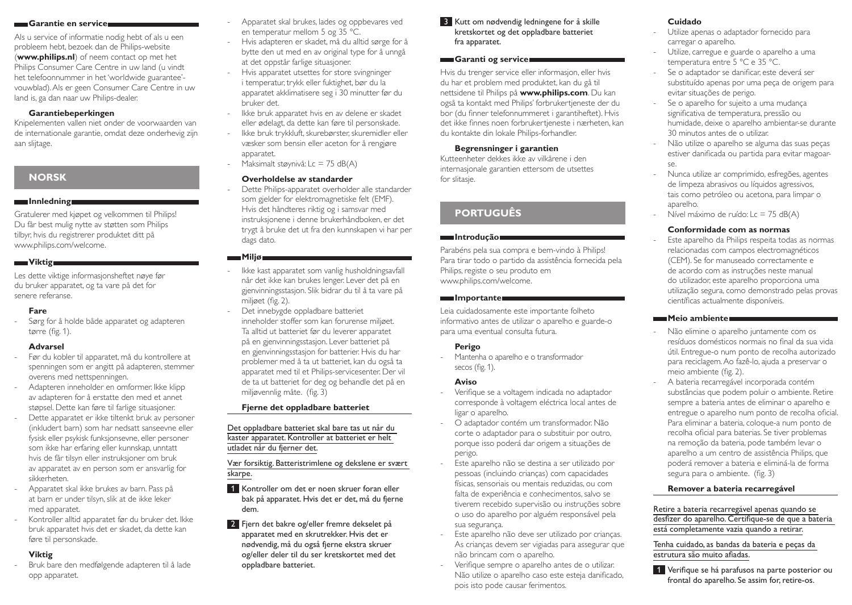#### **Garantie en service**

Als u service of informatie nodig hebt of als u een probleem hebt, bezoek dan de Philips-website (**www.philips.nl**) of neem contact op met het Philips Consumer Care Centre in uw land (u vindt het telefoonnummer in het 'worldwide guarantee' vouwblad). Als er geen Consumer Care Centre in uw land is, ga dan naar uw Philips-dealer.

#### **Garantiebeperkingen**

Knipelementen vallen niet onder de voorwaarden van de internationale garantie, omdat deze onderhevig zijn aan slijtage.

# **Norsk**

#### **Innledning**

Gratulerer med kjøpet og velkommen til Philips! Du får best mulig nytte av støtten som Philips tilbyr, hvis du registrerer produktet ditt på www.philips.com/welcome.

### **Viktig**

Les dette viktige informasjonsheftet nøye før du bruker apparatet, og ta vare på det for senere referanse.

### **Fare**

- Sørg for å holde både apparatet og adapteren tørre (fig. 1).

### **Advarsel**

- Før du kobler til apparatet, må du kontrollere at spenningen som er angitt på adapteren, stemmer overens med nettspenningen.
- Adapteren inneholder en omformer. Ikke klipp av adapteren for å erstatte den med et annet støpsel. Dette kan føre til farlige situasjoner.
- Dette apparatet er ikke tiltenkt bruk av personer (inkludert barn) som har nedsatt sanseevne eller fysisk eller psykisk funksjonsevne, eller personer som ikke har erfaring eller kunnskap, unntatt hvis de får tilsyn eller instruksjoner om bruk av apparatet av en person som er ansvarlig for sikkerheten.
- Apparatet skal ikke brukes av barn. Pass på at barn er under tilsyn, slik at de ikke leker med apparatet.
- Kontroller alltid apparatet før du bruker det. Ikke bruk apparatet hvis det er skadet, da dette kan føre til personskade.

## **Viktig**

- Bruk bare den medfølgende adapteren til å lade opp apparatet.

- Apparatet skal brukes, lades og oppbevares ved en temperatur mellom 5 og 35 °C.
- Hvis adapteren er skadet, må du alltid sørge for å bytte den ut med en av original type for å unngå at det oppstår farlige situasjoner.
- Hvis apparatet utsettes for store svingninger i temperatur, trykk eller fuktighet, bør du la apparatet akklimatisere seg i 30 minutter før du bruker det.
- Ikke bruk apparatet hvis en av delene er skadet eller ødelagt, da dette kan føre til personskade.
- Ikke bruk trykkluft, skurebørster, skuremidler eller væsker som bensin eller aceton for å rengjøre apparatet.
- Maksimalt støynivå: Lc = 75 dB(A)

#### **Overholdelse av standarder**

Dette Philips-apparatet overholder alle standarder som gjelder for elektromagnetiske felt (EMF). Hvis det håndteres riktig og i samsvar med instruksjonene i denne brukerhåndboken, er det trygt å bruke det ut fra den kunnskapen vi har per dags dato.

#### **Miljø**

- Ikke kast apparatet som vanlig husholdningsavfall når det ikke kan brukes lenger. Lever det på en gjenvinningsstasjon. Slik bidrar du til å ta vare på miljøet (fig. 2).
- Det innebygde oppladbare batteriet inneholder stoffer som kan forurense miljøet. Ta alltid ut batteriet før du leverer apparatet på en gjenvinningsstasjon. Lever batteriet på en gjenvinningsstasjon for batterier. Hvis du har problemer med å ta ut batteriet, kan du også ta apparatet med til et Philips-servicesenter. Der vil de ta ut batteriet for deg og behandle det på en miljøvennlig måte. (fig. 3)

## **Fjerne det oppladbare batteriet**

Det oppladbare batteriet skal bare tas ut når du kaster apparatet. Kontroller at batteriet er helt utladet når du fjerner det.

Vær forsiktig. Batteristrimlene og dekslene er svært skarpe.

- **1** Kontroller om det er noen skruer foran eller bak på apparatet. Hvis det er det, må du fjerne dem.
- 2 Fjern det bakre og/eller fremre dekselet på apparatet med en skrutrekker. Hvis det er nødvendig, må du også fjerne ekstra skruer og/eller deler til du ser kretskortet med det oppladbare batteriet.

### 3 Kutt om nødvendig ledningene for å skille kretskortet og det oppladbare batteriet fra apparatet.

#### **Garanti og service**

Hvis du trenger service eller informasjon, eller hvis du har et problem med produktet, kan du gå til nettsidene til Philips på **www.philips.com**. Du kan også ta kontakt med Philips' forbrukertjeneste der du bor (du finner telefonnummeret i garantiheftet). Hvis det ikke finnes noen forbrukertjeneste i nærheten, kan du kontakte din lokale Philips-forhandler.

#### **Begrensninger i garantien**

Kutteenheter dekkes ikke av vilkårene i den internasjonale garantien ettersom de utsettes for slitasje.

# **Português**

#### **Introdução**

Parabéns pela sua compra e bem-vindo à Philips! Para tirar todo o partido da assistência fornecida pela Philips, registe o seu produto em www.philips.com/welcome.

#### **Importante**

Leia cuidadosamente este importante folheto informativo antes de utilizar o aparelho e guarde-o para uma eventual consulta futura.

#### **Perigo**

- Mantenha o aparelho e o transformador secos (fig. 1).

### **Aviso**

- Verifique se a voltagem indicada no adaptador corresponde à voltagem eléctrica local antes de ligar o aparelho.
- O adaptador contém um transformador. Não corte o adaptador para o substituir por outro, porque isso poderá dar origem a situações de perigo.
- Este aparelho não se destina a ser utilizado por pessoas (incluindo crianças) com capacidades físicas, sensoriais ou mentais reduzidas, ou com falta de experiência e conhecimentos, salvo se tiverem recebido supervisão ou instruções sobre o uso do aparelho por alguém responsável pela sua segurança.
- Este aparelho não deve ser utilizado por crianças. As crianças devem ser vigiadas para assegurar que não brincam com o aparelho.
- Verifique sempre o aparelho antes de o utilizar. Não utilize o aparelho caso este esteja danificado, pois isto pode causar ferimentos.

### **Cuidado**

- Utilize apenas o adaptador fornecido para carregar o aparelho.
- Utilize, carregue e guarde o aparelho a uma temperatura entre 5 °C e 35 °C.
- Se o adaptador se danificar, este deverá ser substituído apenas por uma peça de origem para evitar situações de perigo.
- Se o aparelho for sujeito a uma mudança significativa de temperatura, pressão ou humidade, deixe o aparelho ambientar-se durante 30 minutos antes de o utilizar.
- Não utilize o aparelho se alguma das suas peças estiver danificada ou partida para evitar magoarse.
- Nunca utilize ar comprimido, esfregões, agentes de limpeza abrasivos ou líquidos agressivos, tais como petróleo ou acetona, para limpar o aparelho.
- Nível máximo de ruído: Lc = 75 dB(A)

### **Conformidade com as normas**

Este aparelho da Philips respeita todas as normas relacionadas com campos electromagnéticos (CEM). Se for manuseado correctamente e de acordo com as instruções neste manual do utilizador, este aparelho proporciona uma utilização segura, como demonstrado pelas provas científicas actualmente disponíveis.

#### **Meio ambiente**

- Não elimine o aparelho juntamente com os resíduos domésticos normais no final da sua vida útil. Entregue-o num ponto de recolha autorizado para reciclagem. Ao fazê-lo, ajuda a preservar o meio ambiente (fig. 2).
- A bateria recarregável incorporada contém substâncias que podem poluir o ambiente. Retire sempre a bateria antes de eliminar o aparelho e entregue o aparelho num ponto de recolha oficial. Para eliminar a bateria, coloque-a num ponto de recolha oficial para baterias. Se tiver problemas na remoção da bateria, pode também levar o aparelho a um centro de assistência Philips, que poderá remover a bateria e eliminá-la de forma segura para o ambiente. (fig. 3)

#### **Remover a bateria recarregável**

#### Retire a bateria recarregável apenas quando se desfizer do aparelho. Certifique-se de que a bateria está completamente vazia quando a retirar.

Tenha cuidado, as bandas da bateria e peças da estrutura são muito afiadas.

1 Verifique se há parafusos na parte posterior ou frontal do aparelho. Se assim for, retire-os.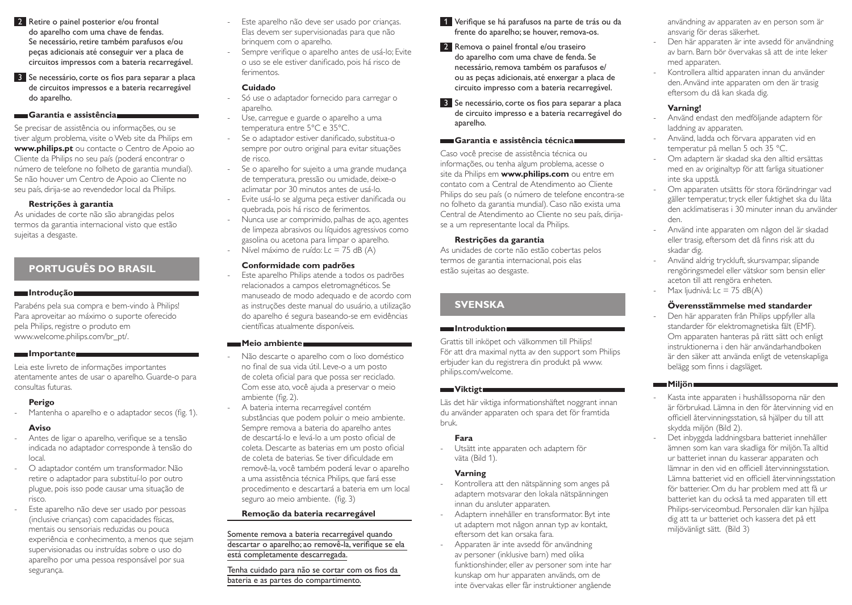- 2 Retire o painel posterior e/ou frontal do aparelho com uma chave de fendas. Se necessário, retire também parafusos e/ou peças adicionais até conseguir ver a placa de circuitos impressos com a bateria recarregável.
- 3 Se necessário, corte os fios para separar a placa de circuitos impressos e a bateria recarregável do aparelho.

#### **Garantia e assistência**

Se precisar de assistência ou informações, ou se tiver algum problema, visite o Web site da Philips em **www.philips.pt** ou contacte o Centro de Apoio ao Cliente da Philips no seu país (poderá encontrar o número de telefone no folheto de garantia mundial). Se não houver um Centro de Apoio ao Cliente no seu país, dirija-se ao revendedor local da Philips.

#### **Restrições à garantia**

As unidades de corte não são abrangidas pelos termos da garantia internacional visto que estão sujeitas a desgaste.

# **Português do Brasil**

#### **Introdução**

Parabéns pela sua compra e bem-vindo à Philips! Para aproveitar ao máximo o suporte oferecido pela Philips, registre o produto em www.welcome.philips.com/br\_pt/.

#### **Importante**

Leia este livreto de informações importantes atentamente antes de usar o aparelho. Guarde-o para consultas futuras.

### **Perigo**

- Mantenha o aparelho e o adaptador secos (fig. 1).

### **Aviso**

- Antes de ligar o aparelho, verifique se a tensão indicada no adaptador corresponde à tensão do local.
- O adaptador contém um transformador. Não retire o adaptador para substituí-lo por outro plugue, pois isso pode causar uma situação de risco.
- Este aparelho não deve ser usado por pessoas (inclusive crianças) com capacidades físicas, mentais ou sensoriais reduzidas ou pouca experiência e conhecimento, a menos que sejam supervisionadas ou instruídas sobre o uso do aparelho por uma pessoa responsável por sua segurança.
- Este aparelho não deve ser usado por crianças. Elas devem ser supervisionadas para que não brinquem com o aparelho.
- Sempre verifique o aparelho antes de usá-lo; Evite o uso se ele estiver danificado, pois há risco de ferimentos.

#### **Cuidado**

- Só use o adaptador fornecido para carregar o aparelho.
- Use, carregue e guarde o aparelho a uma temperatura entre 5°C e 35°C.
- Se o adaptador estiver danificado, substitua-o sempre por outro original para evitar situações de risco.
- Se o aparelho for sujeito a uma grande mudança de temperatura, pressão ou umidade, deixe-o aclimatar por 30 minutos antes de usá-lo.
- Evite usá-lo se alguma peça estiver danificada ou quebrada, pois há risco de ferimentos.
- Nunca use ar comprimido, palhas de aço, agentes de limpeza abrasivos ou líquidos agressivos como gasolina ou acetona para limpar o aparelho.
- Nível máximo de ruído: Lc = 75 dB (A)

#### **Conformidade com padrões**

Este aparelho Philips atende a todos os padrões relacionados a campos eletromagnéticos. Se manuseado de modo adequado e de acordo com as instruções deste manual do usuário, a utilização do aparelho é segura baseando-se em evidências científicas atualmente disponíveis.

#### **Meio ambiente**

- Não descarte o aparelho com o lixo doméstico no final de sua vida útil. Leve-o a um posto de coleta oficial para que possa ser reciclado. Com esse ato, você ajuda a preservar o meio ambiente (fig. 2).
- A bateria interna recarregável contém substâncias que podem poluir o meio ambiente. Sempre remova a bateria do aparelho antes de descartá-lo e levá-lo a um posto oficial de coleta. Descarte as baterias em um posto oficial de coleta de baterias. Se tiver dificuldade em removê-la, você também poderá levar o aparelho a uma assistência técnica Philips, que fará esse procedimento e descartará a bateria em um local seguro ao meio ambiente. (fig. 3)

### **Remoção da bateria recarregável**

Somente remova a bateria recarregável quando descartar o aparelho; ao removê-la, verifique se ela está completamente descarregada.

Tenha cuidado para não se cortar com os fios da bateria e as partes do compartimento.

- 1 Verifique se há parafusos na parte de trás ou da frente do aparelho; se houver, remova-os.
- 2 Remova o painel frontal e/ou traseiro do aparelho com uma chave de fenda. Se necessário, remova também os parafusos e/ ou as peças adicionais, até enxergar a placa de circuito impresso com a bateria recarregável.
- 3 Se necessário, corte os fios para separar a placa de circuito impresso e a bateria recarregável do aparelho.

#### **Garantia e assistência técnica**

Caso você precise de assistência técnica ou informações, ou tenha algum problema, acesse o site da Philips em **www.philips.com** ou entre em contato com a Central de Atendimento ao Cliente Philips do seu país (o número de telefone encontra-se no folheto da garantia mundial). Caso não exista uma Central de Atendimento ao Cliente no seu país, dirijase a um representante local da Philips.

#### **Restrições da garantia**

As unidades de corte não estão cobertas pelos termos de garantia internacional, pois elas estão sujeitas ao desgaste.

# **Svenska**

#### **Introduktion**

Grattis till inköpet och välkommen till Philips! För att dra maximal nytta av den support som Philips erbjuder kan du registrera din produkt på www. philips.com/welcome.

### **Viktigt**

Läs det här viktiga informationshäftet noggrant innan du använder apparaten och spara det för framtida bruk.

### **Fara**

- Utsätt inte apparaten och adaptern för väta (Bild 1).

### **Varning**

- Kontrollera att den nätspänning som anges på adaptern motsvarar den lokala nätspänningen innan du ansluter apparaten.
- Adaptern innehåller en transformator. Byt inte ut adaptern mot någon annan typ av kontakt, eftersom det kan orsaka fara.
- Apparaten är inte avsedd för användning av personer (inklusive barn) med olika funktionshinder, eller av personer som inte har kunskap om hur apparaten används, om de inte övervakas eller får instruktioner angående

användning av apparaten av en person som är ansvarig för deras säkerhet.

- Den här apparaten är inte avsedd för användning av barn. Barn bör övervakas så att de inte leker med apparaten.
- Kontrollera alltid apparaten innan du använder den. Använd inte apparaten om den är trasig eftersom du då kan skada dig.

## **Varning!**

- Använd endast den medföljande adaptern för laddning av apparaten.
- Använd, ladda och förvara apparaten vid en temperatur på mellan 5 och 35 °C.
- Om adaptern är skadad ska den alltid ersättas med en av originaltyp för att farliga situationer inte ska uppstå.
- Om apparaten utsätts för stora förändringar vad gäller temperatur, tryck eller fuktighet ska du låta den acklimatiseras i 30 minuter innan du använder den.
- Använd inte apparaten om någon del är skadad eller trasig, eftersom det då finns risk att du skadar dig.
- Använd aldrig tryckluft, skursvampar, slipande rengöringsmedel eller vätskor som bensin eller aceton till att rengöra enheten.
- Max ljudnivå: Lc = 75 dB $(A)$

## **Överensstämmelse med standarder**

Den här apparaten från Philips uppfyller alla standarder för elektromagnetiska fält (EMF). Om apparaten hanteras på rätt sätt och enligt instruktionerna i den här användarhandboken är den säker att använda enligt de vetenskapliga belägg som finns i dagsläget.

#### **Miljön**

- Kasta inte apparaten i hushållssoporna när den är förbrukad. Lämna in den för återvinning vid en officiell återvinningsstation, så hjälper du till att skydda miljön (Bild 2).
- Det inbyggda laddningsbara batteriet innehåller ämnen som kan vara skadliga för miljön. Ta alltid ur batteriet innan du kasserar apparaten och lämnar in den vid en officiell återvinningsstation. Lämna batteriet vid en officiell återvinningsstation för batterier. Om du har problem med att få ur batteriet kan du också ta med apparaten till ett Philips-serviceombud. Personalen där kan hjälpa dig att ta ur batteriet och kassera det på ett miljövänligt sätt. (Bild 3)